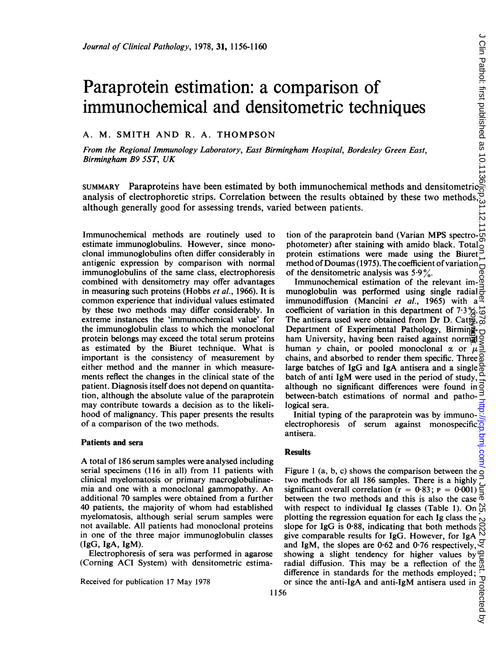# Paraprotein estimation: a comparison of immunochemical and densitometric techniques *Journal of Clinical Pathology*, 1978, 31, 1156-1160<br> **Paraprotein estimation: a comparison of**<br> **immunochemical and densitometric techniques**<br>
A. M. SMITH AND R. A. THOMPSON<br> *From the Regional Immunology Laboratory, Eas*

# A. M. SMITH AND R. A. THOMPSON

From the Regional Immunology Laboratory, East Birmingham Hospital, Bordesley Green East, Birmingham B9 SST, UK

analysis of electrophoretic strips. Correlation between the results obtained by these two methods, although generally good for assessing trends, varied between patients.

Immunochemical methods are routinely used to estimate immunoglobulins. However, since monoclonal immunoglobulins often differ considerably in antigenic expression by comparison with normal immunoglobulins of the same class, electrophoresis combined with densitometry may offer advantages in measuring such proteins (Hobbs et al., 1966). It is common experience that individual values estimated by these two methods may differ considerably. In extreme instances the 'immunochemical value' for the immunoglobulin class to which the monoclonal protein belongs may exceed the total serum proteins as estimated by the Biuret technique. What is important is the consistency of measurement by either method and the manner in which measurements reflect the changes in the clinical state of the patient. Diagnosis itself does not depend on quantitation, although the absolute value of the paraprotein may contribute towards a decision as to the likelihood of malignancy. This paper presents the results of a comparison of the two methods.

## Patients and sera

A total of <sup>186</sup> serum samples were analysed including serial specimens (116 in all) from 11 patients with clinical myelomatosis or primary macroglobulinaemia and one with a monoclonal gammopathy. An additional 70 samples were obtained from a further 40 patients, the majority of whom had established myelomatosis, although serial serum samples were not available. All patients had monoclonal proteins in one of the three major immunoglobulin classes (IgG, IgA, IgM).

Electrophoresis of sera was performed in agarose (Corning ACI System) with densitometric estima-

Received for publication <sup>17</sup> May 1978

tion of the paraprotein band (Varian MPS spectrophotometer) after staining with amido black. Total protein estimations were made using the Biuret method of Doumas (1975). The coefficient of variation of the densitometric analysis was  $5.9\%$ .

Immunochemical estimation of the relevant immunoglobulin was performed using single radial  $\vec{r}$ immunodiffusion (Mancini et al., 1965) with a coefficient of variation in this department of  $7.3\frac{\cancel{6}}{46}$ . The antisera used were obtained from Dr D. Catto,  $\frac{1}{\omega}$ Department of Experimental Pathology, Birmingham University, having been raised against norma human  $\gamma$  chain, or pooled monoclonal  $\alpha$  or  $\mu$ chains, and absorbed to render them specific. Three large batches of IgG and IgA antisera and a single batch of anti IgM were used in the period of study,  $\frac{\Omega}{\Omega}$  although no significant differences were found in  $\overrightarrow{O}$ although no significant differences were found in between-batch estimations of normal and pathological sera. copyright.

Initial typing of the paraprotein was by immunoelectrophoresis of serum against monospecific antisera.

# **Results**

Figure 1 (a, b, c) shows the comparison between the  $\frac{1}{2}$ two methods for all 186 samples. There is a highly significant overall correlation  $(r = 0.83; P = 0.001)$ between the two methods and this is also the case  $\overline{\Phi}$ with respect to individual Ig classes (Table 1). On  $\mathcal{C}_{\Omega}$ plotting the regression equation for each Ig class the  $\frac{1}{2}$ <br>slope for IgG is 0.88, indicating that both methods  $\frac{1}{2}$ <br>give comparable results for IgG. However, for IgA slope for IgG is 0-88, indicating that both methods give comparable results for IgG. However, for IgA  $\frac{1}{2}$  and IgM, the slopes are 0.62 and 0.76 respectively. and IgM, the slopes are 0.62 and 0.76 respectively,  $\leq$  showing a slight tendency for higher values by  $\cong$  radial diffusion. This may be a reflection of the  $\frac{6}{100}$  difference in standards for the methods employed showing a slight tendency for higher values by radial diffusion. This may be a reflection of the difference in standards for the methods employed; or since the anti-IgA and anti-IgM antisera used in  $\frac{1}{\text{cot }\theta}$ <br>6<br>6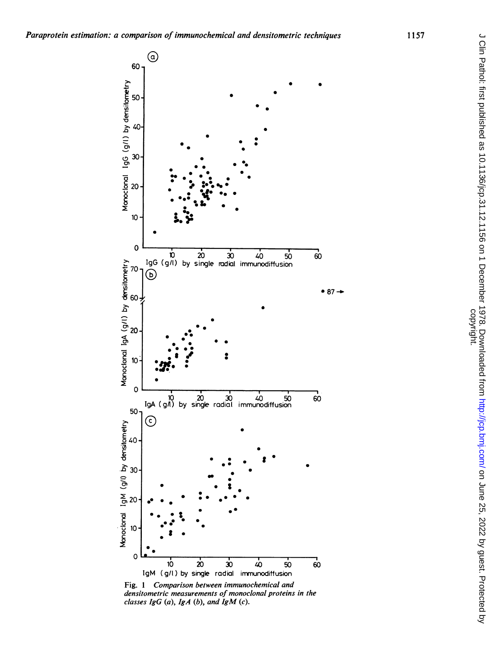

Fig. 1 Comparison between immunochemical and densitometric measurements of monoclonal proteins in the classes  $IgG(a)$ ,  $IgA(b)$ , and  $IgM(c)$ .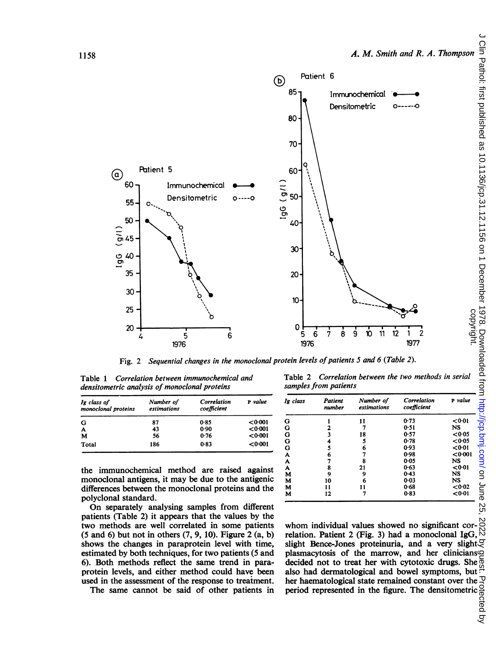

Fig. 2 Sequential changes in the monoclonal protein levels of patients 5 and 6 (Table 2).

Table <sup>1</sup> Correlation between immunochemical and densitometric analysis of monoclonal proteins

| Ig class of<br>monoclonal proteins | Number of<br>estimations | Correlation<br>coefficient | P value |
|------------------------------------|--------------------------|----------------------------|---------|
| G                                  | 87                       | 0.85                       | <0.001  |
| A                                  | 43                       | 0.90                       | < 0.001 |
| M                                  | 56                       | 0.76                       | < 0.001 |
| Total                              | 186                      | 0.83                       | < 0.001 |

the immunochemical method are raised against monoclonal antigens, it may be due to the antigenic differences between the monoclonal proteins and the polyclonal standard.

On separately analysing samples from different patients (Table 2) it appears that the values by the two methods are well correlated in some patients (5 and 6) but not in others (7, 9, 10). Figure 2 (a, b) shows the changes in paraprotein level with time, estimated by both techniques, for two patients (5 and 6). Both methods reflect the same trend in paraprotein levels, and either method could have been used in the assessment of the response to treatment.

The same cannot be said of other patients in

Table 2 Correlation between the two methods in serial samples from patients

| Ig class | Patient<br>number | Number of<br>estimations | Correlation<br>coefficient | P value |
|----------|-------------------|--------------------------|----------------------------|---------|
| G        |                   | 11                       | 0.73                       | < 0.01  |
| G        |                   | 7                        | 0.51                       | NS      |
| G        |                   | 18                       | 0.57                       | < 0.05  |
| G        |                   | 5                        | 0.78                       | < 0.05  |
| G        |                   | 6                        | 0.93                       | < 0.01  |
| A        | 6                 |                          | 0.98                       | < 0.001 |
| A        |                   | 8                        | 0.05                       | NS      |
| A        | 8                 | 21                       | 0.63                       | < 0.01  |
| М        | ۹                 | 9                        | 0.43                       | NS      |
| M        | 10                | 6                        | 0.03                       | NS      |
| М        | 11                |                          | 0.68                       | <0.02   |
| м        | 12                | 7                        | 0.83                       | < 0.01  |

whom individual values showed no significant correlation. Patient 2 (Fig. 3) had a monoclonal IgG, slight Bence-Jones proteinuria, and a very slight $\mathcal Q$ plasmacytosis of the marrow, and her clinicians decided not to treat her with cytotoxic drugs. She also had dermatological and bowel symptoms, but  $\frac{\mu}{2}$ <br>her haematological state remained constant over the  $\frac{\mu}{2}$ her haematological state remained constant over the  $\frac{10}{10}$ <br>period represented in the figure. The densitometric  $\frac{10}{10}$ <br> $\frac{10}{10}$ period represented in the figure. The densitometric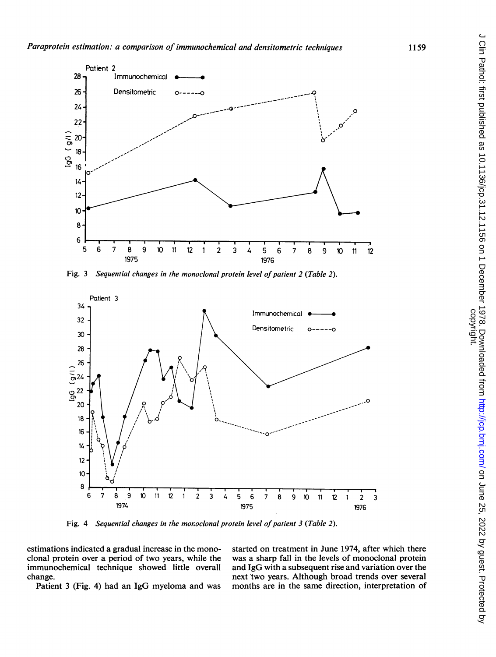

Fig. 3 Sequential changes in the monoclonal protein level of patient 2 (Table 2).



Fig. 4 Sequential changes in the monoclonal protein level of patient  $3$  (Table 2).

immunochemical technique showed little overall change.

estimations indicated a gradual increase in the mono-<br>clonal protein over a period of two years, while the was a sharp fall in the levels of monoclonal protein was a sharp fall in the levels of monoclonal protein and IgG with a subsequent rise and variation over the iange.<br>
Patient 3 (Fig. 4) had an IgG myeloma and was months are in the same direction, interpretation of months are in the same direction, interpretation of

1159